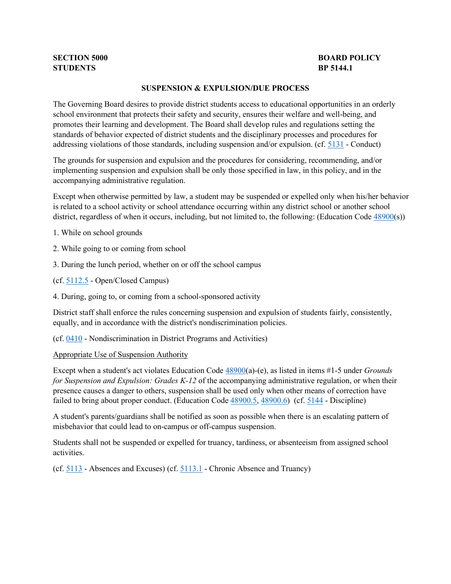# **SECTION 5000 BP 5144.1 BP 5144.1**

# **BOARD POLICY**

#### **SUSPENSION & EXPULSION/DUE PROCESS**

addressing violations of those standards, including suspension and/or expulsion. (cf. [5131](http://gamutonline.net/displayPolicy/931147/5) - Conduct) The Governing Board desires to provide district students access to educational opportunities in an orderly school environment that protects their safety and security, ensures their welfare and well-being, and promotes their learning and development. The Board shall develop rules and regulations setting the standards of behavior expected of district students and the disciplinary processes and procedures for

 The grounds for suspension and expulsion and the procedures for considering, recommending, and/or implementing suspension and expulsion shall be only those specified in law, in this policy, and in the accompanying administrative regulation.

district, regardless of when it occurs, including, but not limited to, the following: (Education Code  $\frac{48900(s)}{ }$ ) Except when otherwise permitted by law, a student may be suspended or expelled only when his/her behavior is related to a school activity or school attendance occurring within any district school or another school

- 1. While on school grounds
- 2. While going to or coming from school
- 3. During the lunch period, whether on or off the school campus
- (cf[. 5112.5](http://gamutonline.net/displayPolicy/171451/5)  Open/Closed Campus)
- 4. During, going to, or coming from a school-sponsored activity

 District staff shall enforce the rules concerning suspension and expulsion of students fairly, consistently, equally, and in accordance with the district's nondiscrimination policies.

(cf[. 0410](http://gamutonline.net/displayPolicy/890898/5) - Nondiscrimination in District Programs and Activities)

#### Appropriate Use of Suspension Authority

 *for Suspension and Expulsion: Grades K-12* of the accompanying administrative regulation, or when their presence causes a danger to others, suspension shall be used only when other means of correction have failed to bring about proper conduct. (Education Code  $\frac{48900.5}{1000}$ ,  $\frac{48900.6}{1000}$  (cf. [5144](http://gamutonline.net/displayPolicy/909486/5) - Discipline) Except when a student's act violates Education Code [48900\(](http://gamutonline.net/displayPolicy/137736/5)a)-(e), as listed in items #1-5 under *Grounds* 

A student's parents/guardians shall be notified as soon as possible when there is an escalating pattern of misbehavior that could lead to on-campus or off-campus suspension.

Students shall not be suspended or expelled for truancy, tardiness, or absenteeism from assigned school activities.

(cf.  $\frac{5113}{ }$  - Absences and Excuses) (cf.  $\frac{5113.1}{ }$  - Chronic Absence and Truancy)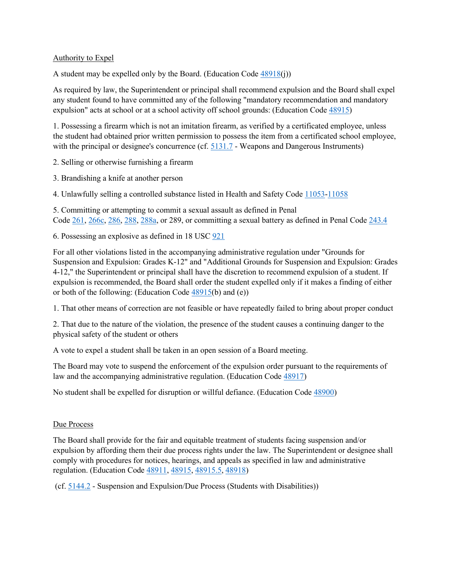## Authority to Expel

A student may be expelled only by the Board. (Education Code [48918\(](http://gamutonline.net/displayPolicy/137967/5)j))

 As required by law, the Superintendent or principal shall recommend expulsion and the Board shall expel any student found to have committed any of the following "mandatory recommendation and mandatory expulsion" acts at school or at a school activity off school grounds: (Education Cod[e 48915\)](http://gamutonline.net/displayPolicy/135958/5)

 1. Possessing a firearm which is not an imitation firearm, as verified by a certificated employee, unless the student had obtained prior written permission to possess the item from a certificated school employee, with the principal or designee's concurrence (cf.  $5131.7$  - Weapons and Dangerous Instruments)

2. Selling or otherwise furnishing a firearm

3. Brandishing a knife at another person

4. Unlawfully selling a controlled substance listed in Health and Safety Code [11053-](http://gamutonline.net/displayPolicy/149830/5)[11058](http://gamutonline.net/displayPolicy/149833/5) 

Code [261,](http://gamutonline.net/displayPolicy/169326/5) [266c,](http://gamutonline.net/displayPolicy/226067/5) [286,](http://gamutonline.net/displayPolicy/169686/5) [288,](http://gamutonline.net/displayPolicy/169700/5) [288a,](http://gamutonline.net/displayPolicy/169687/5) or 289, or committing a sexual battery as defined in Penal Code 243.4 5. Committing or attempting to commit a sexual assault as defined in Penal

6. Possessing an explosive as defined in  $18$  USC  $921$ 

 expulsion is recommended, the Board shall order the student expelled only if it makes a finding of either For all other violations listed in the accompanying administrative regulation under "Grounds for Suspension and Expulsion: Grades K-12" and "Additional Grounds for Suspension and Expulsion: Grades 4-12," the Superintendent or principal shall have the discretion to recommend expulsion of a student. If or both of the following: (Education Code [48915\(](http://gamutonline.net/displayPolicy/135958/5)b) and (e))

1. That other means of correction are not feasible or have repeatedly failed to bring about proper conduct

 2. That due to the nature of the violation, the presence of the student causes a continuing danger to the physical safety of the student or others

A vote to expel a student shall be taken in an open session of a Board meeting.

 The Board may vote to suspend the enforcement of the expulsion order pursuant to the requirements of law and the accompanying administrative regulation. (Education Code [48917\)](http://gamutonline.net/displayPolicy/132248/5)

No student shall be expelled for disruption or willful defiance. (Education Code  $\frac{48900}{ }$ )

## Due Process

 The Board shall provide for the fair and equitable treatment of students facing suspension and/or expulsion by affording them their due process rights under the law. The Superintendent or designee shall regulation. (Education Code [48911,](http://gamutonline.net/displayPolicy/132236/5) [48915,](http://gamutonline.net/displayPolicy/135958/5) [48915.5,](http://gamutonline.net/displayPolicy/1007255/5) [48918\)](http://gamutonline.net/displayPolicy/137967/5) comply with procedures for notices, hearings, and appeals as specified in law and administrative

(cf. [5144.2](http://gamutonline.net/displayPolicy/288773/5) - Suspension and Expulsion/Due Process (Students with Disabilities))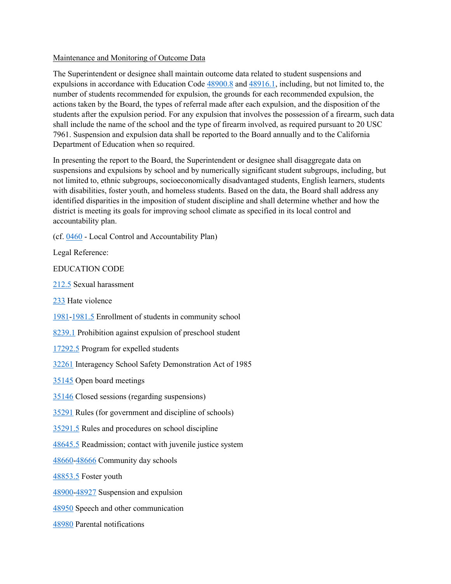#### Maintenance and Monitoring of Outcome Data

expulsions in accordance with Education Code  $\frac{48900.8}{8}$  and  $\frac{48916.1}{8}$ , including, but not limited to, the actions taken by the Board, the types of referral made after each expulsion, and the disposition of the shall include the name of the school and the type of firearm involved, as required pursuant to 20 USC The Superintendent or designee shall maintain outcome data related to student suspensions and number of students recommended for expulsion, the grounds for each recommended expulsion, the students after the expulsion period. For any expulsion that involves the possession of a firearm, such data 7961. Suspension and expulsion data shall be reported to the Board annually and to the California Department of Education when so required.

 district is meeting its goals for improving school climate as specified in its local control and In presenting the report to the Board, the Superintendent or designee shall disaggregate data on suspensions and expulsions by school and by numerically significant student subgroups, including, but not limited to, ethnic subgroups, socioeconomically disadvantaged students, English learners, students with disabilities, foster youth, and homeless students. Based on the data, the Board shall address any identified disparities in the imposition of student discipline and shall determine whether and how the accountability plan.

(cf[. 0460](http://gamutonline.net/displayPolicy/857369/5) - Local Control and Accountability Plan)

Legal Reference:

EDUCATION CODE

[212.5](http://gamutonline.net/displayPolicy/138759/5) Sexual harassment

[233](http://gamutonline.net/displayPolicy/226219/5) Hate violence

[1981](http://gamutonline.net/displayPolicy/135942/5)[-1981.5](http://gamutonline.net/displayPolicy/971036/5) Enrollment of students in community school

[8239.1](http://gamutonline.net/displayPolicy/1096618/5) Prohibition against expulsion of preschool student

[17292.5](http://gamutonline.net/displayPolicy/136856/5) Program for expelled students

[32261](http://gamutonline.net/displayPolicy/721433/5) Interagency School Safety Demonstration Act of 1985

[35145](http://gamutonline.net/displayPolicy/131392/5) Open board meetings

[35146](http://gamutonline.net/displayPolicy/131394/5) Closed sessions (regarding suspensions)

[35291](http://gamutonline.net/displayPolicy/131451/5) Rules (for government and discipline of schools)

[35291.5](http://gamutonline.net/displayPolicy/131452/5) Rules and procedures on school discipline

[48645.5](http://gamutonline.net/displayPolicy/132211/5) Readmission; contact with juvenile justice system

[48660-](http://gamutonline.net/displayPolicy/132213/5)[48666](http://gamutonline.net/displayPolicy/132215/5) Community day schools

[48853.5](http://gamutonline.net/displayPolicy/315649/5) Foster youth

[48900-](http://gamutonline.net/displayPolicy/137736/5)[48927](http://gamutonline.net/displayPolicy/286488/5) Suspension and expulsion

[48950](http://gamutonline.net/displayPolicy/132263/5) Speech and other communication

[48980](http://gamutonline.net/displayPolicy/226041/5) Parental notifications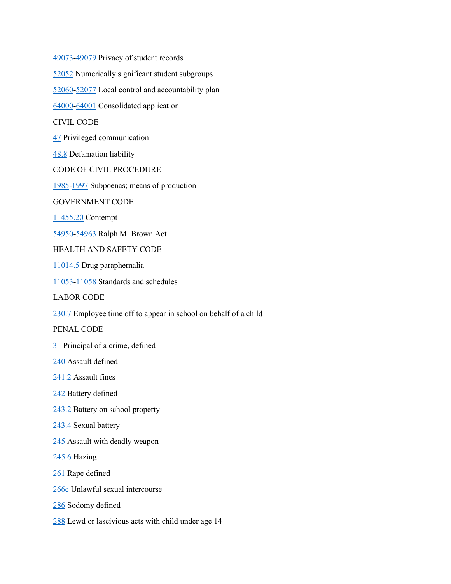[49073-](http://gamutonline.net/displayPolicy/132291/5)[49079](http://gamutonline.net/displayPolicy/226085/5) Privacy of student records [52052](http://gamutonline.net/displayPolicy/899522/5) Numerically significant student subgroups [1985](http://gamutonline.net/displayPolicy/369496/5)[-1997](http://gamutonline.net/displayPolicy/369530/5) Subpoenas; means of production [11455.20](http://gamutonline.net/displayPolicy/250682/5) Contempt [230.7](http://gamutonline.net/displayPolicy/156117/5) Employee time off to appear in school on behalf of a child [245.6](http://gamutonline.net/displayPolicy/421010/5) Hazing [288](http://gamutonline.net/displayPolicy/169700/5) Lewd or lascivious acts with child under age 14 [52060-](http://gamutonline.net/displayPolicy/1007011/5)[52077](http://gamutonline.net/displayPolicy/899537/5) Local control and accountability plan [64000-](http://gamutonline.net/displayPolicy/133932/5)[64001](http://gamutonline.net/displayPolicy/133933/5) Consolidated application CIVIL CODE [47](http://gamutonline.net/displayPolicy/122366/5) Privileged communication [48.8](http://gamutonline.net/displayPolicy/249104/5) Defamation liability CODE OF CIVIL PROCEDURE GOVERNMENT CODE [54950-](http://gamutonline.net/displayPolicy/145061/5)[54963](http://gamutonline.net/displayPolicy/288575/5) Ralph M. Brown Act HEALTH AND SAFETY CODE [11014.5](http://gamutonline.net/displayPolicy/150418/5) Drug paraphernalia [11053-](http://gamutonline.net/displayPolicy/149830/5)[11058](http://gamutonline.net/displayPolicy/149833/5) Standards and schedules LABOR CODE PENAL CODE [31](http://gamutonline.net/displayPolicy/250705/5) Principal of a crime, defined [240](http://gamutonline.net/displayPolicy/169313/5) Assault defined [241.2](http://gamutonline.net/displayPolicy/169315/5) Assault fines [242](http://gamutonline.net/displayPolicy/169318/5) Battery defined [243.2](http://gamutonline.net/displayPolicy/169319/5) Battery on school property [243.4](http://gamutonline.net/displayPolicy/169626/5) Sexual battery [245](http://gamutonline.net/displayPolicy/169323/5) Assault with deadly weapon [261](http://gamutonline.net/displayPolicy/169326/5) Rape defined [266c](http://gamutonline.net/displayPolicy/226067/5) Unlawful sexual intercourse [286](http://gamutonline.net/displayPolicy/169686/5) Sodomy defined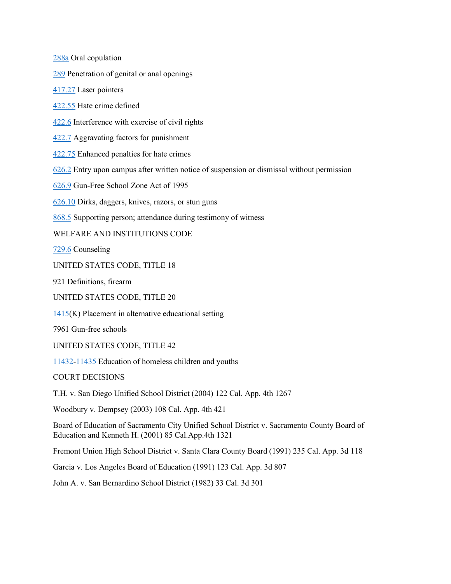[288a](http://gamutonline.net/displayPolicy/169687/5) Oral copulation

[289](http://gamutonline.net/displayPolicy/169688/5) Penetration of genital or anal openings

[417.27](http://gamutonline.net/displayPolicy/204121/5) Laser pointers

[422.55](http://gamutonline.net/displayPolicy/352313/5) Hate crime defined

[422.6](http://gamutonline.net/displayPolicy/169695/5) Interference with exercise of civil rights

[422.7](http://gamutonline.net/displayPolicy/169368/5) Aggravating factors for punishment

[422.75](http://gamutonline.net/displayPolicy/169689/5) Enhanced penalties for hate crimes

[626.2](http://gamutonline.net/displayPolicy/169384/5) Entry upon campus after written notice of suspension or dismissal without permission

[626.9](http://gamutonline.net/displayPolicy/169652/5) Gun-Free School Zone Act of 1995

[626.10](http://gamutonline.net/displayPolicy/169382/5) Dirks, daggers, knives, razors, or stun guns

[868.5](http://gamutonline.net/displayPolicy/169584/5) Supporting person; attendance during testimony of witness

# WELFARE AND INSTITUTIONS CODE

[729.6](http://gamutonline.net/displayPolicy/194846/5) Counseling

UNITED STATES CODE, TITLE 18

921 Definitions, firearm

UNITED STATES CODE, TITLE 20

 $1415(K)$  $1415(K)$  Placement in alternative educational setting

7961 Gun-free schools

UNITED STATES CODE, TITLE 42

[11432-](http://gamutonline.net/displayPolicy/191745/5)[11435](http://gamutonline.net/displayPolicy/191749/5) Education of homeless children and youths

COURT DECISIONS

T.H. v. San Diego Unified School District (2004) 122 Cal. App. 4th 1267

Woodbury v. Dempsey (2003) 108 Cal. App. 4th 421

Board of Education of Sacramento City Unified School District v. Sacramento County Board of Education and Kenneth H. (2001) 85 Cal.App.4th 1321

Fremont Union High School District v. Santa Clara County Board (1991) 235 Cal. App. 3d 118

Garcia v. Los Angeles Board of Education (1991) 123 Cal. App. 3d 807

John A. v. San Bernardino School District (1982) 33 Cal. 3d 301